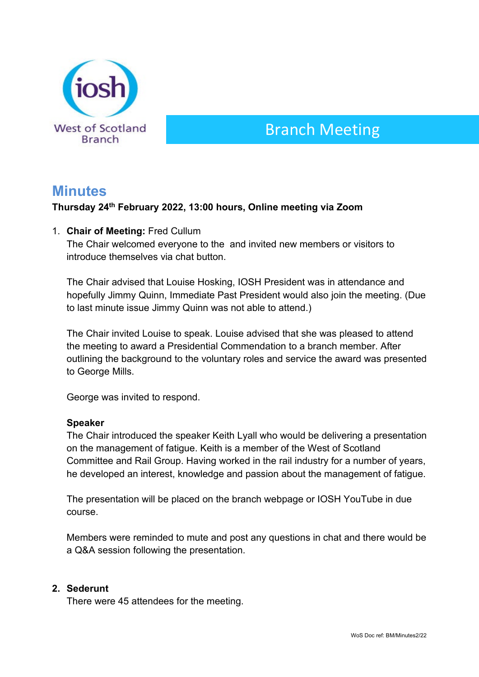

# Branch Meeting

## **Minutes**

### **Thursday 24th February 2022, 13:00 hours, Online meeting via Zoom**

1. **Chair of Meeting:** Fred Cullum

The Chair welcomed everyone to the and invited new members or visitors to introduce themselves via chat button.

The Chair advised that Louise Hosking, IOSH President was in attendance and hopefully Jimmy Quinn, Immediate Past President would also join the meeting. (Due to last minute issue Jimmy Quinn was not able to attend.)

The Chair invited Louise to speak. Louise advised that she was pleased to attend the meeting to award a Presidential Commendation to a branch member. After outlining the background to the voluntary roles and service the award was presented to George Mills.

George was invited to respond.

#### **Speaker**

The Chair introduced the speaker Keith Lyall who would be delivering a presentation on the management of fatigue. Keith is a member of the West of Scotland Committee and Rail Group. Having worked in the rail industry for a number of years, he developed an interest, knowledge and passion about the management of fatigue.

The presentation will be placed on the branch webpage or IOSH YouTube in due course.

Members were reminded to mute and post any questions in chat and there would be a Q&A session following the presentation.

#### **2. Sederunt**

There were 45 attendees for the meeting.